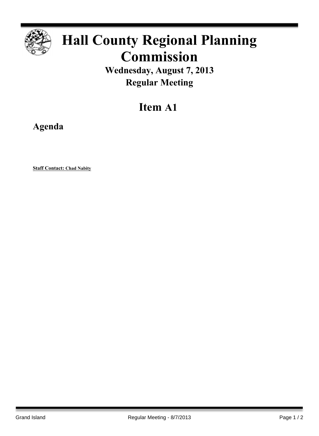

## **Hall County Regional Planning Commission**

**Wednesday, August 7, 2013 Regular Meeting**

## **Item A1**

**Agenda**

**Staff Contact: Chad Nabity**